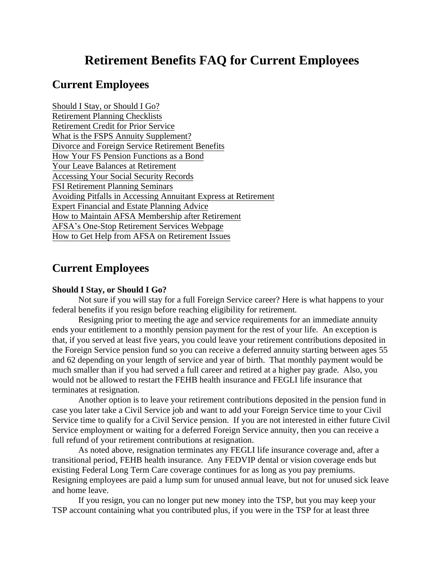# **Retirement Benefits FAQ for Current Employees**

# **Current Employees**

Should I Stay, or Should I Go? Retirement Planning Checklists Retirement Credit for Prior Service What is the FSPS Annuity Supplement? Divorce and Foreign Service Retirement Benefits How Your FS Pension Functions as a Bond Your Leave Balances at Retirement Accessing Your Social Security Records FSI Retirement Planning Seminars Avoiding Pitfalls in Accessing Annuitant Express at Retirement Expert Financial and Estate Planning Advice How to Maintain AFSA Membership after Retirement AFSA's One-Stop Retirement Services Webpage How to Get Help from AFSA on Retirement Issues

# **Current Employees**

# **Should I Stay, or Should I Go?**

Not sure if you will stay for a full Foreign Service career? Here is what happens to your federal benefits if you resign before reaching eligibility for retirement.

Resigning prior to meeting the age and service requirements for an immediate annuity ends your entitlement to a monthly pension payment for the rest of your life. An exception is that, if you served at least five years, you could leave your retirement contributions deposited in the Foreign Service pension fund so you can receive a deferred annuity starting between ages 55 and 62 depending on your length of service and year of birth. That monthly payment would be much smaller than if you had served a full career and retired at a higher pay grade. Also, you would not be allowed to restart the FEHB health insurance and FEGLI life insurance that terminates at resignation.

Another option is to leave your retirement contributions deposited in the pension fund in case you later take a Civil Service job and want to add your Foreign Service time to your Civil Service time to qualify for a Civil Service pension. If you are not interested in either future Civil Service employment or waiting for a deferred Foreign Service annuity, then you can receive a full refund of your retirement contributions at resignation.

As noted above, resignation terminates any FEGLI life insurance coverage and, after a transitional period, FEHB health insurance. Any FEDVIP dental or vision coverage ends but existing Federal Long Term Care coverage continues for as long as you pay premiums. Resigning employees are paid a lump sum for unused annual leave, but not for unused sick leave and home leave.

If you resign, you can no longer put new money into the TSP, but you may keep your TSP account containing what you contributed plus, if you were in the TSP for at least three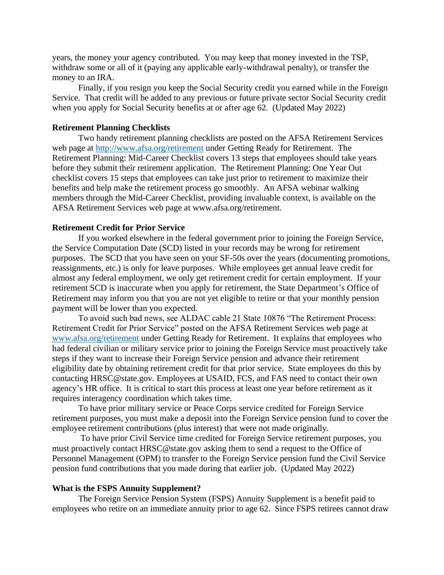years, the money your agency contributed. You may keep that money invested in the TSP, withdraw some or all of it (paying any applicable early-withdrawal penalty), or transfer the money to an IRA.

Finally, if you resign you keep the Social Security credit you earned while in the Foreign Service. That credit will be added to any previous or future private sector Social Security credit when you apply for Social Security benefits at or after age 62. (Updated May 2022)

# **Retirement Planning Checklists**

Two handy retirement planning checklists are posted on the AFSA Retirement Services web page at<http://www.afsa.org/retirement> under Getting Ready for Retirement. The Retirement Planning: Mid-Career Checklist covers 13 steps that employees should take years before they submit their retirement application. The Retirement Planning: One Year Out checklist covers 15 steps that employees can take just prior to retirement to maximize their benefits and help make the retirement process go smoothly. An AFSA webinar walking members through the Mid-Career Checklist, providing invaluable context, is available on the AFSA Retirement Services web page at [www.afsa.org/retirement.](http://www.afsa.org/retirement)

# **Retirement Credit for Prior Service**

If you worked elsewhere in the federal government prior to joining the Foreign Service, the Service Computation Date (SCD) listed in your records may be wrong for retirement purposes. The SCD that you have seen on your SF-50s over the years (documenting promotions, reassignments, etc.) is only for leave purposes. While employees get annual leave credit for almost any federal employment, we only get retirement credit for certain employment. If your retirement SCD is inaccurate when you apply for retirement, the State Department's Office of Retirement may inform you that you are not yet eligible to retire or that your monthly pension payment will be lower than you expected.

To avoid such bad news, see ALDAC cable 21 State 10876 "The Retirement Process: Retirement Credit for Prior Service" posted on the AFSA Retirement Services web page at [www.afsa.org/retirement](http://www.afsa.org/retirement) under Getting Ready for Retirement. It explains that employees who had federal civilian or military service prior to joining the Foreign Service must proactively take steps if they want to increase their Foreign Service pension and advance their retirement eligibility date by obtaining retirement credit for that prior service. State employees do this by contacting HRSC@state.gov. Employees at USAID, FCS, and FAS need to contact their own agency's HR office. It is critical to start this process at least one year before retirement as it requires interagency coordination which takes time.

To have prior military service or Peace Corps service credited for Foreign Service retirement purposes, you must make a deposit into the Foreign Service pension fund to cover the employee retirement contributions (plus interest) that were not made originally.

To have prior Civil Service time credited for Foreign Service retirement purposes, you must proactively contact HRSC@state.gov asking them to send a request to the Office of Personnel Management (OPM) to transfer to the Foreign Service pension fund the Civil Service pension fund contributions that you made during that earlier job. (Updated May 2022)

### **What is the FSPS Annuity Supplement?**

The Foreign Service Pension System (FSPS) Annuity Supplement is a benefit paid to employees who retire on an immediate annuity prior to age 62. Since FSPS retirees cannot draw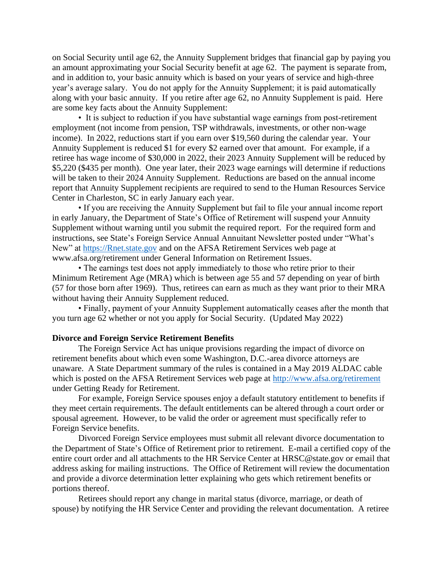on Social Security until age 62, the Annuity Supplement bridges that financial gap by paying you an amount approximating your Social Security benefit at age 62. The payment is separate from, and in addition to, your basic annuity which is based on your years of service and high-three year's average salary. You do not apply for the Annuity Supplement; it is paid automatically along with your basic annuity. If you retire after age 62, no Annuity Supplement is paid. Here are some key facts about the Annuity Supplement:

• It is subject to reduction if you have substantial wage earnings from post-retirement employment (not income from pension, TSP withdrawals, investments, or other non-wage income). In 2022, reductions start if you earn over \$19,560 during the calendar year. Your Annuity Supplement is reduced \$1 for every \$2 earned over that amount. For example, if a retiree has wage income of \$30,000 in 2022, their 2023 Annuity Supplement will be reduced by \$5,220 (\$435 per month). One year later, their 2023 wage earnings will determine if reductions will be taken to their 2024 Annuity Supplement. Reductions are based on the annual income report that Annuity Supplement recipients are required to send to the Human Resources Service Center in Charleston, SC in early January each year.

• If you are receiving the Annuity Supplement but fail to file your annual income report in early January, the Department of State's Office of Retirement will suspend your Annuity Supplement without warning until you submit the required report. For the required form and instructions, see State's Foreign Service Annual Annuitant Newsletter posted under "What's New" at [https://Rnet.state.gov](https://rnet.state.gov/) and on the AFSA Retirement Services web page at www.afsa.org/retirement under General Information on Retirement Issues.

• The earnings test does not apply immediately to those who retire prior to their Minimum Retirement Age (MRA) which is between age 55 and 57 depending on year of birth (57 for those born after 1969). Thus, retirees can earn as much as they want prior to their MRA without having their Annuity Supplement reduced.

• Finally, payment of your Annuity Supplement automatically ceases after the month that you turn age 62 whether or not you apply for Social Security. (Updated May 2022)

## **Divorce and Foreign Service Retirement Benefits**

The Foreign Service Act has unique provisions regarding the impact of divorce on retirement benefits about which even some Washington, D.C.-area divorce attorneys are unaware. A State Department summary of the rules is contained in a May 2019 ALDAC cable which is posted on the AFSA Retirement Services web page at<http://www.afsa.org/retirement> under Getting Ready for Retirement.

For example, Foreign Service spouses enjoy a default statutory entitlement to benefits if they meet certain requirements. The default entitlements can be altered through a court order or spousal agreement. However, to be valid the order or agreement must specifically refer to Foreign Service benefits.

Divorced Foreign Service employees must submit all relevant divorce documentation to the Department of State's Office of Retirement prior to retirement. E-mail a certified copy of the entire court order and all attachments to the HR Service Center at HRSC@state.gov or email that address asking for mailing instructions. The Office of Retirement will review the documentation and provide a divorce determination letter explaining who gets which retirement benefits or portions thereof.

Retirees should report any change in marital status (divorce, marriage, or death of spouse) by notifying the HR Service Center and providing the relevant documentation. A retiree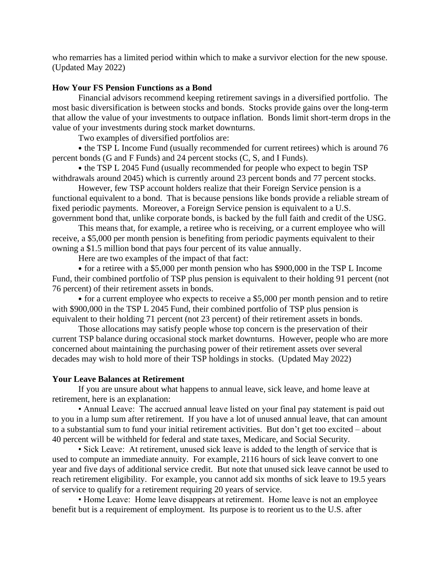who remarries has a limited period within which to make a survivor election for the new spouse. (Updated May 2022)

# **How Your FS Pension Functions as a Bond**

Financial advisors recommend keeping retirement savings in a diversified portfolio. The most basic diversification is between stocks and bonds. Stocks provide gains over the long-term that allow the value of your investments to outpace inflation. Bonds limit short-term drops in the value of your investments during stock market downturns.

Two examples of diversified portfolios are:

• the TSP L Income Fund (usually recommended for current retirees) which is around 76 percent bonds (G and F Funds) and 24 percent stocks (C, S, and I Funds).

• the TSP L 2045 Fund (usually recommended for people who expect to begin TSP withdrawals around 2045) which is currently around 23 percent bonds and 77 percent stocks.

However, few TSP account holders realize that their Foreign Service pension is a functional equivalent to a bond. That is because pensions like bonds provide a reliable stream of fixed periodic payments. Moreover, a Foreign Service pension is equivalent to a U.S. government bond that, unlike corporate bonds, is backed by the full faith and credit of the USG.

This means that, for example, a retiree who is receiving, or a current employee who will receive, a \$5,000 per month pension is benefiting from periodic payments equivalent to their owning a \$1.5 million bond that pays four percent of its value annually.

Here are two examples of the impact of that fact:

• for a retiree with a \$5,000 per month pension who has \$900,000 in the TSP L Income Fund, their combined portfolio of TSP plus pension is equivalent to their holding 91 percent (not 76 percent) of their retirement assets in bonds.

• for a current employee who expects to receive a \$5,000 per month pension and to retire with \$900,000 in the TSP L 2045 Fund, their combined portfolio of TSP plus pension is equivalent to their holding 71 percent (not 23 percent) of their retirement assets in bonds.

Those allocations may satisfy people whose top concern is the preservation of their current TSP balance during occasional stock market downturns. However, people who are more concerned about maintaining the purchasing power of their retirement assets over several decades may wish to hold more of their TSP holdings in stocks. (Updated May 2022)

#### **Your Leave Balances at Retirement**

If you are unsure about what happens to annual leave, sick leave, and home leave at retirement, here is an explanation:

• Annual Leave: The accrued annual leave listed on your final pay statement is paid out to you in a lump sum after retirement. If you have a lot of unused annual leave, that can amount to a substantial sum to fund your initial retirement activities. But don't get too excited – about 40 percent will be withheld for federal and state taxes, Medicare, and Social Security.

• Sick Leave: At retirement, unused sick leave is added to the length of service that is used to compute an immediate annuity. For example, 2116 hours of sick leave convert to one year and five days of additional service credit. But note that unused sick leave cannot be used to reach retirement eligibility. For example, you cannot add six months of sick leave to 19.5 years of service to qualify for a retirement requiring 20 years of service.

• Home Leave: Home leave disappears at retirement. Home leave is not an employee benefit but is a requirement of employment. Its purpose is to reorient us to the U.S. after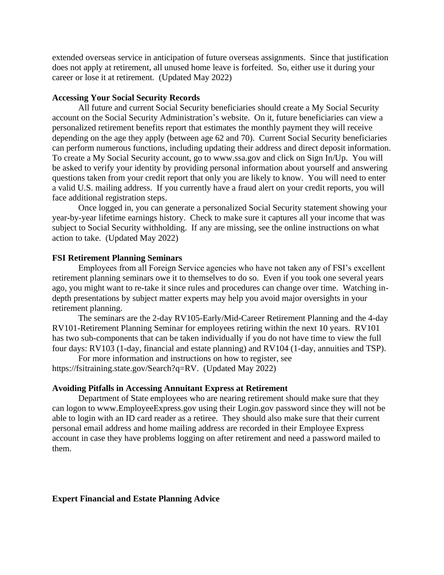extended overseas service in anticipation of future overseas assignments. Since that justification does not apply at retirement, all unused home leave is forfeited. So, either use it during your career or lose it at retirement. (Updated May 2022)

# **Accessing Your Social Security Records**

All future and current Social Security beneficiaries should create a My Social Security account on the Social Security Administration's website. On it, future beneficiaries can view a personalized retirement benefits report that estimates the monthly payment they will receive depending on the age they apply (between age 62 and 70). Current Social Security beneficiaries can perform numerous functions, including updating their address and direct deposit information. To create a My Social Security account, go to www.ssa.gov and click on Sign In/Up. You will be asked to verify your identity by providing personal information about yourself and answering questions taken from your credit report that only you are likely to know. You will need to enter a valid U.S. mailing address. If you currently have a fraud alert on your credit reports, you will face additional registration steps.

Once logged in, you can generate a personalized Social Security statement showing your year-by-year lifetime earnings history. Check to make sure it captures all your income that was subject to Social Security withholding. If any are missing, see the online instructions on what action to take. (Updated May 2022)

#### **FSI Retirement Planning Seminars**

Employees from all Foreign Service agencies who have not taken any of FSI's excellent retirement planning seminars owe it to themselves to do so. Even if you took one several years ago, you might want to re-take it since rules and procedures can change over time. Watching indepth presentations by subject matter experts may help you avoid major oversights in your retirement planning.

The seminars are the 2-day RV105-Early/Mid-Career Retirement Planning and the 4-day RV101-Retirement Planning Seminar for employees retiring within the next 10 years. RV101 has two sub-components that can be taken individually if you do not have time to view the full four days: RV103 (1-day, financial and estate planning) and RV104 (1-day, annuities and TSP).

For more information and instructions on how to register, see https://fsitraining.state.gov/Search?q=RV. (Updated May 2022)

#### **Avoiding Pitfalls in Accessing Annuitant Express at Retirement**

Department of State employees who are nearing retirement should make sure that they can logon to www.EmployeeExpress.gov using their Login.gov password since they will not be able to login with an ID card reader as a retiree. They should also make sure that their current personal email address and home mailing address are recorded in their Employee Express account in case they have problems logging on after retirement and need a password mailed to them.

# **Expert Financial and Estate Planning Advice**